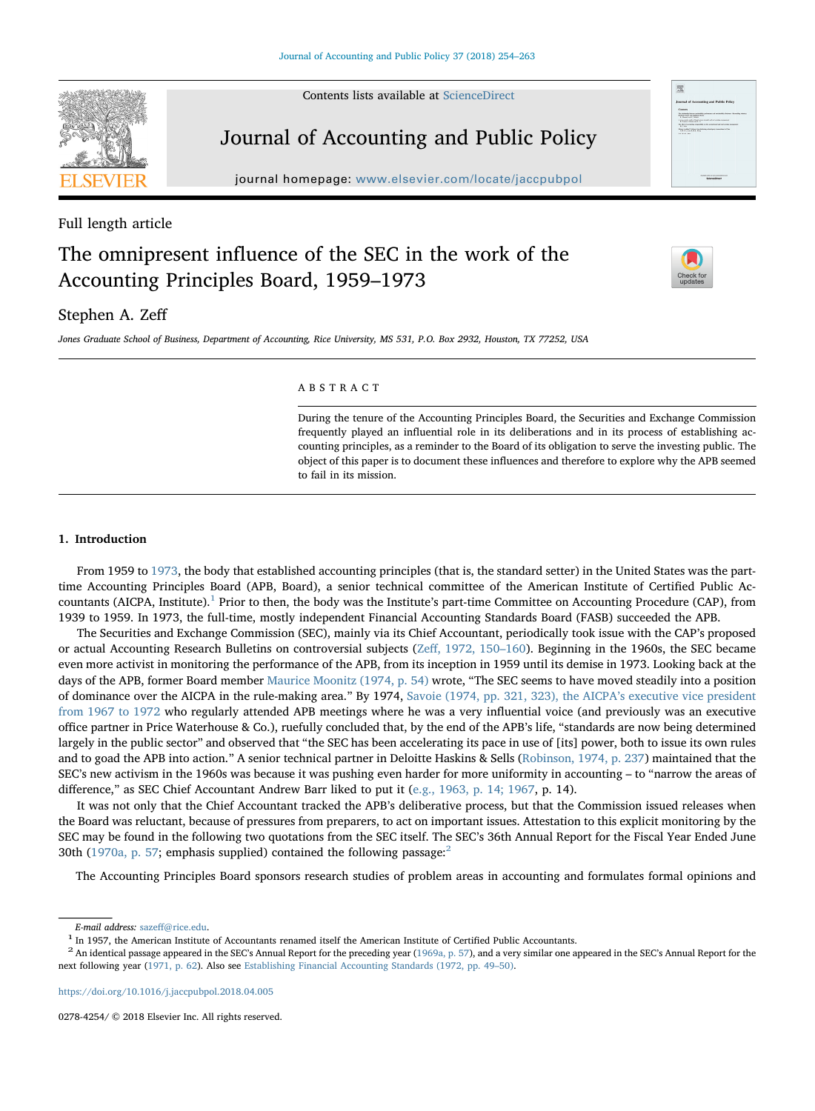Contents lists available at [ScienceDirect](http://www.sciencedirect.com/science/journal/02784254)



# Journal of Accounting and Public Policy

journal homepage: [www.elsevier.com/locate/jaccpubpol](https://www.elsevier.com/locate/jaccpubpol)

## Full length article

## The omnipresent influence of the SEC in the work of the Accounting Principles Board, 1959–1973



## Stephen A. Zeff

Jones Graduate School of Business, Department of Accounting, Rice University, MS 531, P.O. Box 2932, Houston, TX 77252, USA

#### ABSTRACT

During the tenure of the Accounting Principles Board, the Securities and Exchange Commission frequently played an influential role in its deliberations and in its process of establishing accounting principles, as a reminder to the Board of its obligation to serve the investing public. The object of this paper is to document these influences and therefore to explore why the APB seemed to fail in its mission.

#### 1. Introduction

From 1959 to [1973,](#page-8-0) the body that established accounting principles (that is, the standard setter) in the United States was the parttime Accounting Principles Board (APB, Board), a senior technical committee of the American Institute of Certified Public Ac-countants (AICPA, Institute).<sup>[1](#page-0-0)</sup> Prior to then, the body was the Institute's part-time Committee on Accounting Procedure (CAP), from 1939 to 1959. In 1973, the full-time, mostly independent Financial Accounting Standards Board (FASB) succeeded the APB.

The Securities and Exchange Commission (SEC), mainly via its Chief Accountant, periodically took issue with the CAP's proposed or actual Accounting Research Bulletins on controversial subjects (Zeff[, 1972, 150](#page-9-0)–160). Beginning in the 1960s, the SEC became even more activist in monitoring the performance of the APB, from its inception in 1959 until its demise in 1973. Looking back at the days of the APB, former Board member [Maurice Moonitz \(1974, p. 54\)](#page-9-1) wrote, "The SEC seems to have moved steadily into a position of dominance over the AICPA in the rule-making area." By 1974, [Savoie \(1974, pp. 321, 323\), the AICPA](#page-9-2)'s executive vice president [from 1967 to 1972](#page-9-2) who regularly attended APB meetings where he was a very influential voice (and previously was an executive office partner in Price Waterhouse & Co.), ruefully concluded that, by the end of the APB's life, "standards are now being determined largely in the public sector" and observed that "the SEC has been accelerating its pace in use of [its] power, both to issue its own rules and to goad the APB into action." A senior technical partner in Deloitte Haskins & Sells [\(Robinson, 1974, p. 237\)](#page-9-3) maintained that the SEC's new activism in the 1960s was because it was pushing even harder for more uniformity in accounting – to "narrow the areas of difference," as SEC Chief Accountant Andrew Barr liked to put it ([e.g., 1963, p. 14; 1967](#page-9-4), p. 14).

It was not only that the Chief Accountant tracked the APB's deliberative process, but that the Commission issued releases when the Board was reluctant, because of pressures from preparers, to act on important issues. Attestation to this explicit monitoring by the SEC may be found in the following two quotations from the SEC itself. The SEC's 36th Annual Report for the Fiscal Year Ended June 30th ([1970a, p. 57](#page-9-5); emphasis supplied) contained the following passage:<sup>[2](#page-0-1)</sup>

The Accounting Principles Board sponsors research studies of problem areas in accounting and formulates formal opinions and

<https://doi.org/10.1016/j.jaccpubpol.2018.04.005>

0278-4254/ © 2018 Elsevier Inc. All rights reserved.

<span id="page-0-1"></span>

<span id="page-0-0"></span>*E-mail address:* sazeff[@rice.edu](mailto:sazeff@rice.edu).<br><sup>1</sup> In 1957, the American Institute of Accountants renamed itself the American Institute of Certified Public Accountants.<br><sup>2</sup> An identical passage appeared in the SEC's Annual Report for next following year ([1971, p. 62\)](#page-9-7). Also see [Establishing Financial Accounting Standards \(1972, pp. 49](#page-9-8)–50).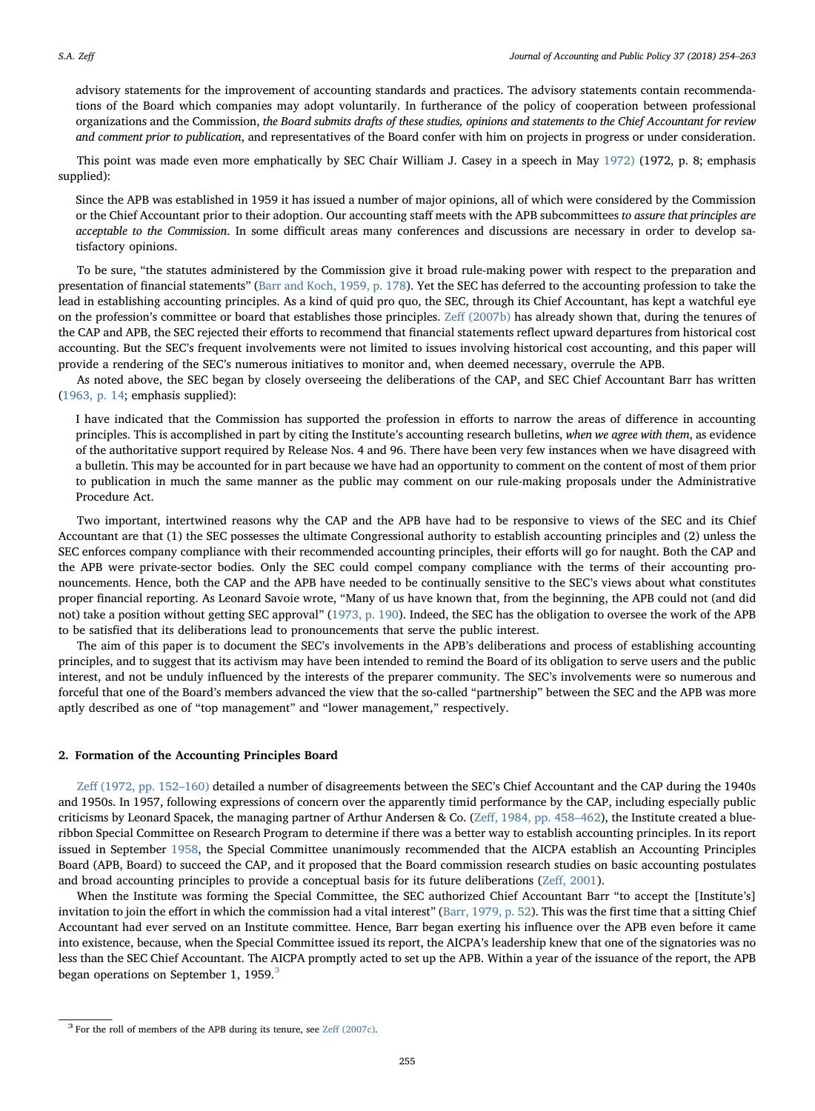advisory statements for the improvement of accounting standards and practices. The advisory statements contain recommendations of the Board which companies may adopt voluntarily. In furtherance of the policy of cooperation between professional organizations and the Commission, the Board submits drafts of these studies, opinions and statements to the Chief Accountant for review and comment prior to publication, and representatives of the Board confer with him on projects in progress or under consideration.

This point was made even more emphatically by SEC Chair William J. Casey in a speech in May [1972\)](#page-8-1) (1972, p. 8; emphasis supplied):

Since the APB was established in 1959 it has issued a number of major opinions, all of which were considered by the Commission or the Chief Accountant prior to their adoption. Our accounting staff meets with the APB subcommittees to assure that principles are acceptable to the Commission. In some difficult areas many conferences and discussions are necessary in order to develop satisfactory opinions.

To be sure, "the statutes administered by the Commission give it broad rule-making power with respect to the preparation and presentation of financial statements" ([Barr and Koch, 1959, p. 178](#page-8-2)). Yet the SEC has deferred to the accounting profession to take the lead in establishing accounting principles. As a kind of quid pro quo, the SEC, through its Chief Accountant, has kept a watchful eye on the profession's committee or board that establishes those principles. Zeff [\(2007b\)](#page-9-9) has already shown that, during the tenures of the CAP and APB, the SEC rejected their efforts to recommend that financial statements reflect upward departures from historical cost accounting. But the SEC's frequent involvements were not limited to issues involving historical cost accounting, and this paper will provide a rendering of the SEC's numerous initiatives to monitor and, when deemed necessary, overrule the APB.

As noted above, the SEC began by closely overseeing the deliberations of the CAP, and SEC Chief Accountant Barr has written ([1963, p. 14](#page-9-4); emphasis supplied):

I have indicated that the Commission has supported the profession in efforts to narrow the areas of difference in accounting principles. This is accomplished in part by citing the Institute's accounting research bulletins, when we agree with them, as evidence of the authoritative support required by Release Nos. 4 and 96. There have been very few instances when we have disagreed with a bulletin. This may be accounted for in part because we have had an opportunity to comment on the content of most of them prior to publication in much the same manner as the public may comment on our rule-making proposals under the Administrative Procedure Act.

Two important, intertwined reasons why the CAP and the APB have had to be responsive to views of the SEC and its Chief Accountant are that (1) the SEC possesses the ultimate Congressional authority to establish accounting principles and (2) unless the SEC enforces company compliance with their recommended accounting principles, their efforts will go for naught. Both the CAP and the APB were private-sector bodies. Only the SEC could compel company compliance with the terms of their accounting pronouncements. Hence, both the CAP and the APB have needed to be continually sensitive to the SEC's views about what constitutes proper financial reporting. As Leonard Savoie wrote, "Many of us have known that, from the beginning, the APB could not (and did not) take a position without getting SEC approval" ([1973, p. 190](#page-9-10)). Indeed, the SEC has the obligation to oversee the work of the APB to be satisfied that its deliberations lead to pronouncements that serve the public interest.

The aim of this paper is to document the SEC's involvements in the APB's deliberations and process of establishing accounting principles, and to suggest that its activism may have been intended to remind the Board of its obligation to serve users and the public interest, and not be unduly influenced by the interests of the preparer community. The SEC's involvements were so numerous and forceful that one of the Board's members advanced the view that the so-called "partnership" between the SEC and the APB was more aptly described as one of "top management" and "lower management," respectively.

#### 2. Formation of the Accounting Principles Board

Zeff [\(1972, pp. 152](#page-9-0)–160) detailed a number of disagreements between the SEC's Chief Accountant and the CAP during the 1940s and 1950s. In 1957, following expressions of concern over the apparently timid performance by the CAP, including especially public criticisms by Leonard Spacek, the managing partner of Arthur Andersen & Co. (Zeff[, 1984, pp. 458](#page-9-11)–462), the Institute created a blueribbon Special Committee on Research Program to determine if there was a better way to establish accounting principles. In its report issued in September [1958](#page-9-12), the Special Committee unanimously recommended that the AICPA establish an Accounting Principles Board (APB, Board) to succeed the CAP, and it proposed that the Board commission research studies on basic accounting postulates and broad accounting principles to provide a conceptual basis for its future deliberations (Zeff[, 2001\)](#page-9-13).

When the Institute was forming the Special Committee, the SEC authorized Chief Accountant Barr "to accept the [Institute's] invitation to join the effort in which the commission had a vital interest" [\(Barr, 1979, p. 52\)](#page-8-3). This was the first time that a sitting Chief Accountant had ever served on an Institute committee. Hence, Barr began exerting his influence over the APB even before it came into existence, because, when the Special Committee issued its report, the AICPA's leadership knew that one of the signatories was no less than the SEC Chief Accountant. The AICPA promptly acted to set up the APB. Within a year of the issuance of the report, the APB began operations on September 1, 1959.<sup>[3](#page-1-0)</sup>

<span id="page-1-0"></span><sup>&</sup>lt;sup>3</sup> For the roll of members of the APB during its tenure, see Zeff [\(2007c\).](#page-9-14)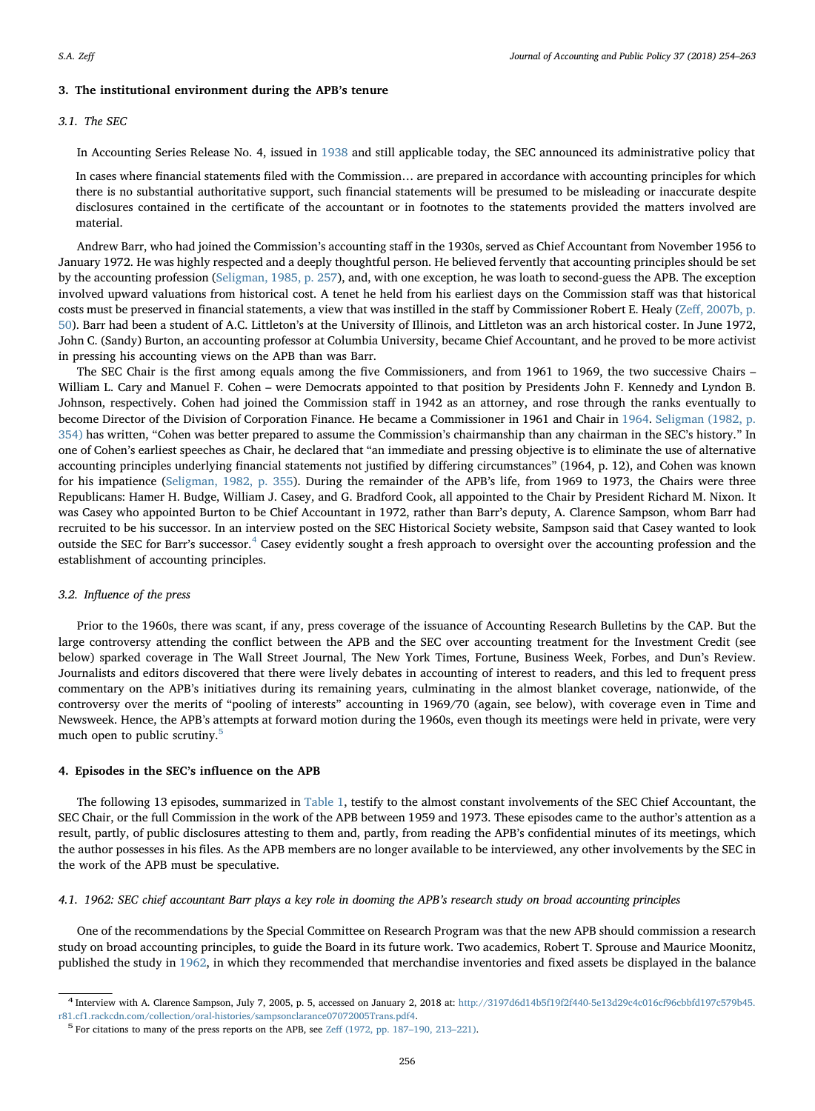## 3. The institutional environment during the APB's tenure

#### 3.1. The SEC

In Accounting Series Release No. 4, issued in [1938](#page-9-15) and still applicable today, the SEC announced its administrative policy that

In cases where financial statements filed with the Commission… are prepared in accordance with accounting principles for which there is no substantial authoritative support, such financial statements will be presumed to be misleading or inaccurate despite disclosures contained in the certificate of the accountant or in footnotes to the statements provided the matters involved are material.

Andrew Barr, who had joined the Commission's accounting staff in the 1930s, served as Chief Accountant from November 1956 to January 1972. He was highly respected and a deeply thoughtful person. He believed fervently that accounting principles should be set by the accounting profession ([Seligman, 1985, p. 257](#page-9-16)), and, with one exception, he was loath to second-guess the APB. The exception involved upward valuations from historical cost. A tenet he held from his earliest days on the Commission staff was that historical costs must be preserved in financial statements, a view that was instilled in the staff by Commissioner Robert E. Healy (Zeff[, 2007b, p.](#page-9-9) [50\)](#page-9-9). Barr had been a student of A.C. Littleton's at the University of Illinois, and Littleton was an arch historical coster. In June 1972, John C. (Sandy) Burton, an accounting professor at Columbia University, became Chief Accountant, and he proved to be more activist in pressing his accounting views on the APB than was Barr.

The SEC Chair is the first among equals among the five Commissioners, and from 1961 to 1969, the two successive Chairs – William L. Cary and Manuel F. Cohen – were Democrats appointed to that position by Presidents John F. Kennedy and Lyndon B. Johnson, respectively. Cohen had joined the Commission staff in 1942 as an attorney, and rose through the ranks eventually to become Director of the Division of Corporation Finance. He became a Commissioner in 1961 and Chair in [1964.](#page-8-4) [Seligman \(1982, p.](#page-9-17) [354\)](#page-9-17) has written, "Cohen was better prepared to assume the Commission's chairmanship than any chairman in the SEC's history." In one of Cohen's earliest speeches as Chair, he declared that "an immediate and pressing objective is to eliminate the use of alternative accounting principles underlying financial statements not justified by differing circumstances" (1964, p. 12), and Cohen was known for his impatience ([Seligman, 1982, p. 355\)](#page-9-17). During the remainder of the APB's life, from 1969 to 1973, the Chairs were three Republicans: Hamer H. Budge, William J. Casey, and G. Bradford Cook, all appointed to the Chair by President Richard M. Nixon. It was Casey who appointed Burton to be Chief Accountant in 1972, rather than Barr's deputy, A. Clarence Sampson, whom Barr had recruited to be his successor. In an interview posted on the SEC Historical Society website, Sampson said that Casey wanted to look outside the SEC for Barr's successor.<sup>[4](#page-2-0)</sup> Casey evidently sought a fresh approach to oversight over the accounting profession and the establishment of accounting principles.

#### 3.2. Influence of the press

Prior to the 1960s, there was scant, if any, press coverage of the issuance of Accounting Research Bulletins by the CAP. But the large controversy attending the conflict between the APB and the SEC over accounting treatment for the Investment Credit (see below) sparked coverage in The Wall Street Journal, The New York Times, Fortune, Business Week, Forbes, and Dun's Review. Journalists and editors discovered that there were lively debates in accounting of interest to readers, and this led to frequent press commentary on the APB's initiatives during its remaining years, culminating in the almost blanket coverage, nationwide, of the controversy over the merits of "pooling of interests" accounting in 1969/70 (again, see below), with coverage even in Time and Newsweek. Hence, the APB's attempts at forward motion during the 1960s, even though its meetings were held in private, were very much open to public scrutiny.<sup>[5](#page-2-1)</sup>

#### 4. Episodes in the SEC's influence on the APB

The following 13 episodes, summarized in [Table 1,](#page-3-0) testify to the almost constant involvements of the SEC Chief Accountant, the SEC Chair, or the full Commission in the work of the APB between 1959 and 1973. These episodes came to the author's attention as a result, partly, of public disclosures attesting to them and, partly, from reading the APB's confidential minutes of its meetings, which the author possesses in his files. As the APB members are no longer available to be interviewed, any other involvements by the SEC in the work of the APB must be speculative.

#### 4.1. 1962: SEC chief accountant Barr plays a key role in dooming the APB's research study on broad accounting principles

One of the recommendations by the Special Committee on Research Program was that the new APB should commission a research study on broad accounting principles, to guide the Board in its future work. Two academics, Robert T. Sprouse and Maurice Moonitz, published the study in [1962,](#page-9-18) in which they recommended that merchandise inventories and fixed assets be displayed in the balance

<span id="page-2-0"></span> $4$  Interview with A. Clarence Sampson, July 7, 2005, p. 5, accessed on January 2, 2018 at: [http://3197d6d14b5f19f2f440-5e13d29c4c016cf96cbbfd197c579b45.](http://3197d6d14b5f19f2f440-5e13d29c4c016cf96cbbfd197c579b45.r81.cf1.rackcdn.com/collection/oral-histories/sampsonclarance07072005Trans.pdf4)

<span id="page-2-1"></span>[r81.cf1.rackcdn.com/collection/oral-histories/sampsonclarance07072005Trans.pdf4.](http://3197d6d14b5f19f2f440-5e13d29c4c016cf96cbbfd197c579b45.r81.cf1.rackcdn.com/collection/oral-histories/sampsonclarance07072005Trans.pdf4) <sup>5</sup> For citations to many of the press reports on the APB, see Zeff [\(1972, pp. 187](#page-9-0)–190, 213–221).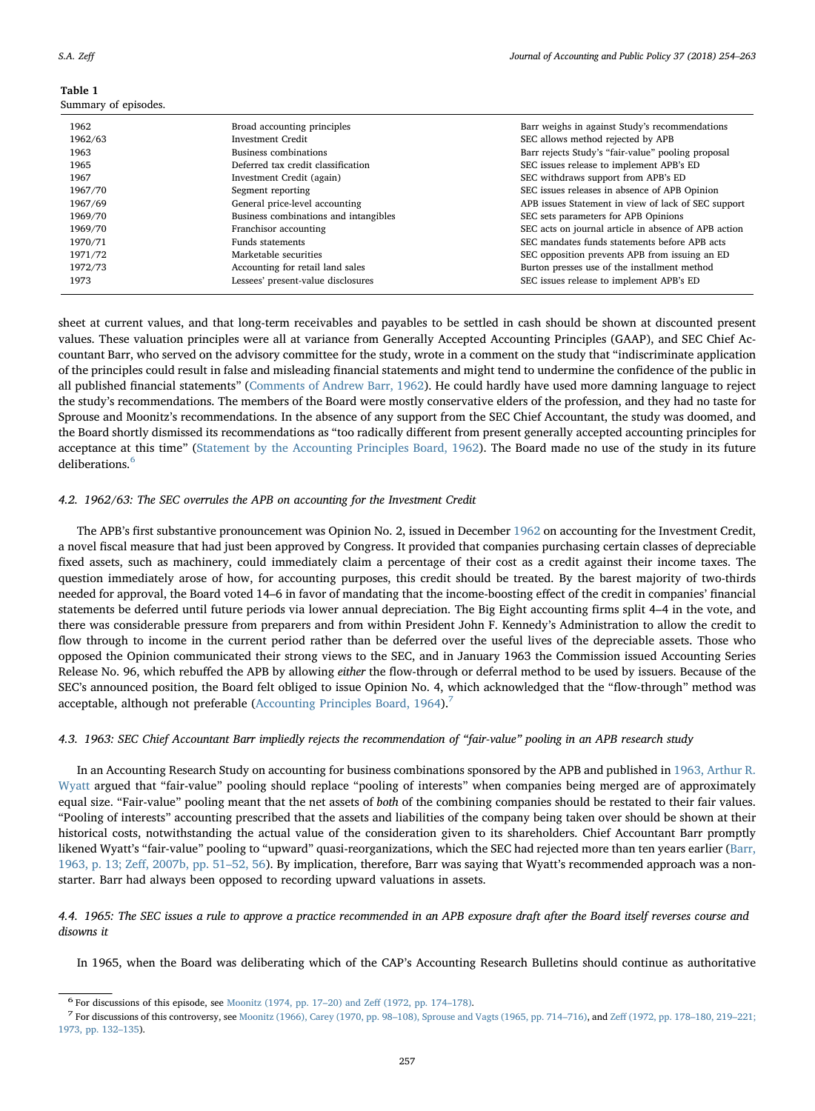#### <span id="page-3-0"></span>Table 1 Summary of episodes.

| Summaly of episodes. |                                       |                                                      |
|----------------------|---------------------------------------|------------------------------------------------------|
| 1962                 | Broad accounting principles           | Barr weighs in against Study's recommendations       |
| 1962/63              | <b>Investment Credit</b>              | SEC allows method rejected by APB                    |
| 1963                 | Business combinations                 | Barr rejects Study's "fair-value" pooling proposal   |
| 1965                 | Deferred tax credit classification    | SEC issues release to implement APB's ED             |
| 1967                 | Investment Credit (again)             | SEC withdraws support from APB's ED                  |
| 1967/70              | Segment reporting                     | SEC issues releases in absence of APB Opinion        |
| 1967/69              | General price-level accounting        | APB issues Statement in view of lack of SEC support  |
| 1969/70              | Business combinations and intangibles | SEC sets parameters for APB Opinions                 |
| 1969/70              | Franchisor accounting                 | SEC acts on journal article in absence of APB action |
| 1970/71              | <b>Funds statements</b>               | SEC mandates funds statements before APB acts        |
| 1971/72              | Marketable securities                 | SEC opposition prevents APB from issuing an ED       |
| 1972/73              | Accounting for retail land sales      | Burton presses use of the installment method         |
| 1973                 | Lessees' present-value disclosures    | SEC issues release to implement APB's ED             |
|                      |                                       |                                                      |

sheet at current values, and that long-term receivables and payables to be settled in cash should be shown at discounted present values. These valuation principles were all at variance from Generally Accepted Accounting Principles (GAAP), and SEC Chief Accountant Barr, who served on the advisory committee for the study, wrote in a comment on the study that "indiscriminate application of the principles could result in false and misleading financial statements and might tend to undermine the confidence of the public in all published financial statements" ([Comments of Andrew Barr, 1962](#page-8-5)). He could hardly have used more damning language to reject the study's recommendations. The members of the Board were mostly conservative elders of the profession, and they had no taste for Sprouse and Moonitz's recommendations. In the absence of any support from the SEC Chief Accountant, the study was doomed, and the Board shortly dismissed its recommendations as "too radically different from present generally accepted accounting principles for acceptance at this time" ([Statement by the Accounting Principles Board, 1962](#page-9-19)). The Board made no use of the study in its future deliberations.<sup>[6](#page-3-1)</sup>

#### 4.2. 1962/63: The SEC overrules the APB on accounting for the Investment Credit

The APB's first substantive pronouncement was Opinion No. 2, issued in December [1962](#page-8-6) on accounting for the Investment Credit, a novel fiscal measure that had just been approved by Congress. It provided that companies purchasing certain classes of depreciable fixed assets, such as machinery, could immediately claim a percentage of their cost as a credit against their income taxes. The question immediately arose of how, for accounting purposes, this credit should be treated. By the barest majority of two-thirds needed for approval, the Board voted 14–6 in favor of mandating that the income-boosting effect of the credit in companies' financial statements be deferred until future periods via lower annual depreciation. The Big Eight accounting firms split 4–4 in the vote, and there was considerable pressure from preparers and from within President John F. Kennedy's Administration to allow the credit to flow through to income in the current period rather than be deferred over the useful lives of the depreciable assets. Those who opposed the Opinion communicated their strong views to the SEC, and in January 1963 the Commission issued Accounting Series Release No. 96, which rebuffed the APB by allowing either the flow-through or deferral method to be used by issuers. Because of the SEC's announced position, the Board felt obliged to issue Opinion No. 4, which acknowledged that the "flow-through" method was acceptable, although not preferable ([Accounting Principles Board, 1964\)](#page-8-7).<sup>[7](#page-3-2)</sup>

#### 4.3. 1963: SEC Chief Accountant Barr impliedly rejects the recommendation of "fair-value" pooling in an APB research study

In an Accounting Research Study on accounting for business combinations sponsored by the APB and published in [1963, Arthur R.](#page-9-20) [Wyatt](#page-9-20) argued that "fair-value" pooling should replace "pooling of interests" when companies being merged are of approximately equal size. "Fair-value" pooling meant that the net assets of both of the combining companies should be restated to their fair values. "Pooling of interests" accounting prescribed that the assets and liabilities of the company being taken over should be shown at their historical costs, notwithstanding the actual value of the consideration given to its shareholders. Chief Accountant Barr promptly likened Wyatt's "fair-value" pooling to "upward" quasi-reorganizations, which the SEC had rejected more than ten years earlier ([Barr,](#page-8-8) 1963, p. 13; Zeff[, 2007b, pp. 51](#page-8-8)–52, 56). By implication, therefore, Barr was saying that Wyatt's recommended approach was a nonstarter. Barr had always been opposed to recording upward valuations in assets.

#### 4.4. 1965: The SEC issues a rule to approve a practice recommended in an APB exposure draft after the Board itself reverses course and disowns it

In 1965, when the Board was deliberating which of the CAP's Accounting Research Bulletins should continue as authoritative

<span id="page-3-2"></span>

<span id="page-3-1"></span><sup>&</sup>lt;sup>6</sup> For discussions of this episode, see [Moonitz \(1974, pp. 17](#page-9-1)-20) and Zeff (1972, pp. 174-178).<br><sup>7</sup> For discussions of this controversy, see Moonitz (1966), Carey (1970, pp. 98-[108\), Sprouse and Vagts \(1965, pp. 714](#page-9-21)-716) [1973, pp. 132](#page-9-0)–135).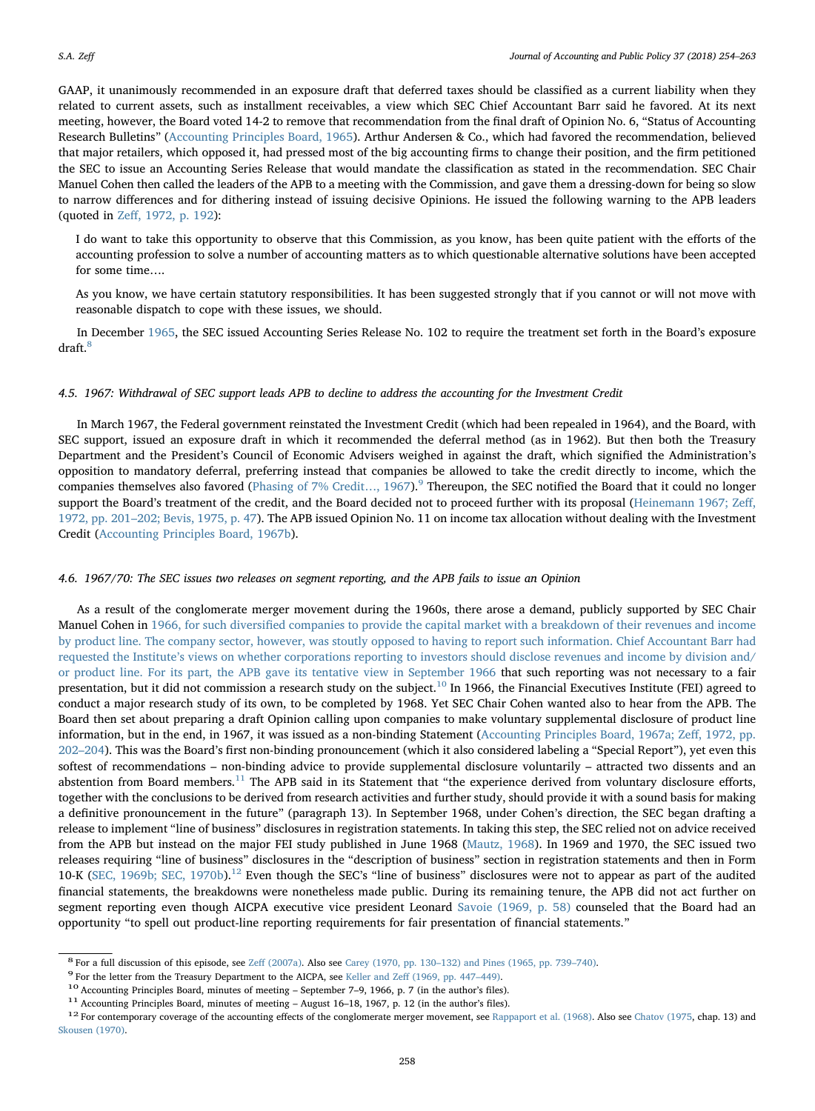GAAP, it unanimously recommended in an exposure draft that deferred taxes should be classified as a current liability when they related to current assets, such as installment receivables, a view which SEC Chief Accountant Barr said he favored. At its next meeting, however, the Board voted 14-2 to remove that recommendation from the final draft of Opinion No. 6, "Status of Accounting Research Bulletins" ([Accounting Principles Board, 1965\)](#page-8-9). Arthur Andersen & Co., which had favored the recommendation, believed that major retailers, which opposed it, had pressed most of the big accounting firms to change their position, and the firm petitioned the SEC to issue an Accounting Series Release that would mandate the classification as stated in the recommendation. SEC Chair Manuel Cohen then called the leaders of the APB to a meeting with the Commission, and gave them a dressing-down for being so slow to narrow differences and for dithering instead of issuing decisive Opinions. He issued the following warning to the APB leaders (quoted in Zeff[, 1972, p. 192\)](#page-9-0):

I do want to take this opportunity to observe that this Commission, as you know, has been quite patient with the efforts of the accounting profession to solve a number of accounting matters as to which questionable alternative solutions have been accepted for some time….

As you know, we have certain statutory responsibilities. It has been suggested strongly that if you cannot or will not move with reasonable dispatch to cope with these issues, we should.

In December [1965,](#page-9-22) the SEC issued Accounting Series Release No. 102 to require the treatment set forth in the Board's exposure draft[.8](#page-4-0)

#### 4.5. 1967: Withdrawal of SEC support leads APB to decline to address the accounting for the Investment Credit

In March 1967, the Federal government reinstated the Investment Credit (which had been repealed in 1964), and the Board, with SEC support, issued an exposure draft in which it recommended the deferral method (as in 1962). But then both the Treasury Department and the President's Council of Economic Advisers weighed in against the draft, which signified the Administration's opposition to mandatory deferral, preferring instead that companies be allowed to take the credit directly to income, which the companies themselves also favored ([Phasing of 7% Credit](#page-9-23)…, 1[9](#page-4-1)67).<sup>9</sup> Thereupon, the SEC notified the Board that it could no longer support the Board's treatment of the credit, and the Board decided not to proceed further with its proposal ([Heinemann 1967; Ze](#page-9-24)ff, 1972, pp. 201–[202; Bevis, 1975, p. 47\)](#page-9-24). The APB issued Opinion No. 11 on income tax allocation without dealing with the Investment Credit [\(Accounting Principles Board, 1967b](#page-8-10)).

#### 4.6. 1967/70: The SEC issues two releases on segment reporting, and the APB fails to issue an Opinion

As a result of the conglomerate merger movement during the 1960s, there arose a demand, publicly supported by SEC Chair Manuel Cohen in 1966, for such diversifi[ed companies to provide the capital market with a breakdown of their revenues and income](#page-8-11) [by product line. The company sector, however, was stoutly opposed to having to report such information. Chief Accountant Barr had](#page-8-11) requested the Institute'[s views on whether corporations reporting to investors should disclose revenues and income by division and/](#page-8-11) [or product line. For its part, the APB gave its tentative view in September 1966](#page-8-11) that such reporting was not necessary to a fair presentation, but it did not commission a research study on the subject.<sup>[10](#page-4-2)</sup> In 1966, the Financial Executives Institute (FEI) agreed to conduct a major research study of its own, to be completed by 1968. Yet SEC Chair Cohen wanted also to hear from the APB. The Board then set about preparing a draft Opinion calling upon companies to make voluntary supplemental disclosure of product line information, but in the end, in 1967, it was issued as a non-binding Statement ([Accounting Principles Board, 1967a; Ze](#page-8-12)ff, 1972, pp. 202–[204\)](#page-8-12). This was the Board's first non-binding pronouncement (which it also considered labeling a "Special Report"), yet even this softest of recommendations – non-binding advice to provide supplemental disclosure voluntarily – attracted two dissents and an abstention from Board members. $11$  The APB said in its Statement that "the experience derived from voluntary disclosure efforts, together with the conclusions to be derived from research activities and further study, should provide it with a sound basis for making a definitive pronouncement in the future" (paragraph 13). In September 1968, under Cohen's direction, the SEC began drafting a release to implement "line of business" disclosures in registration statements. In taking this step, the SEC relied not on advice received from the APB but instead on the major FEI study published in June 1968 [\(Mautz, 1968](#page-9-25)). In 1969 and 1970, the SEC issued two releases requiring "line of business" disclosures in the "description of business" section in registration statements and then in Form 10-K ([SEC, 1969b; SEC, 1970b](#page-9-26)).[12](#page-4-4) Even though the SEC's "line of business" disclosures were not to appear as part of the audited financial statements, the breakdowns were nonetheless made public. During its remaining tenure, the APB did not act further on segment reporting even though AICPA executive vice president Leonard [Savoie \(1969, p. 58\)](#page-9-27) counseled that the Board had an opportunity "to spell out product-line reporting requirements for fair presentation of financial statements."

<span id="page-4-2"></span>

<span id="page-4-3"></span>

<span id="page-4-4"></span>

<span id="page-4-1"></span><span id="page-4-0"></span><sup>&</sup>lt;sup>8</sup> For a full discussion of this episode, see Zeff [\(2007a\).](#page-9-28) Also see Carey (1970, pp. 130–[132\) and Pines \(1965, pp. 739](#page-8-13)–740).<br><sup>9</sup> For the letter from the Treasury Department to the AICPA, see Keller and Zeff (1969, pp. 4 [Skousen \(1970\)](#page-9-31).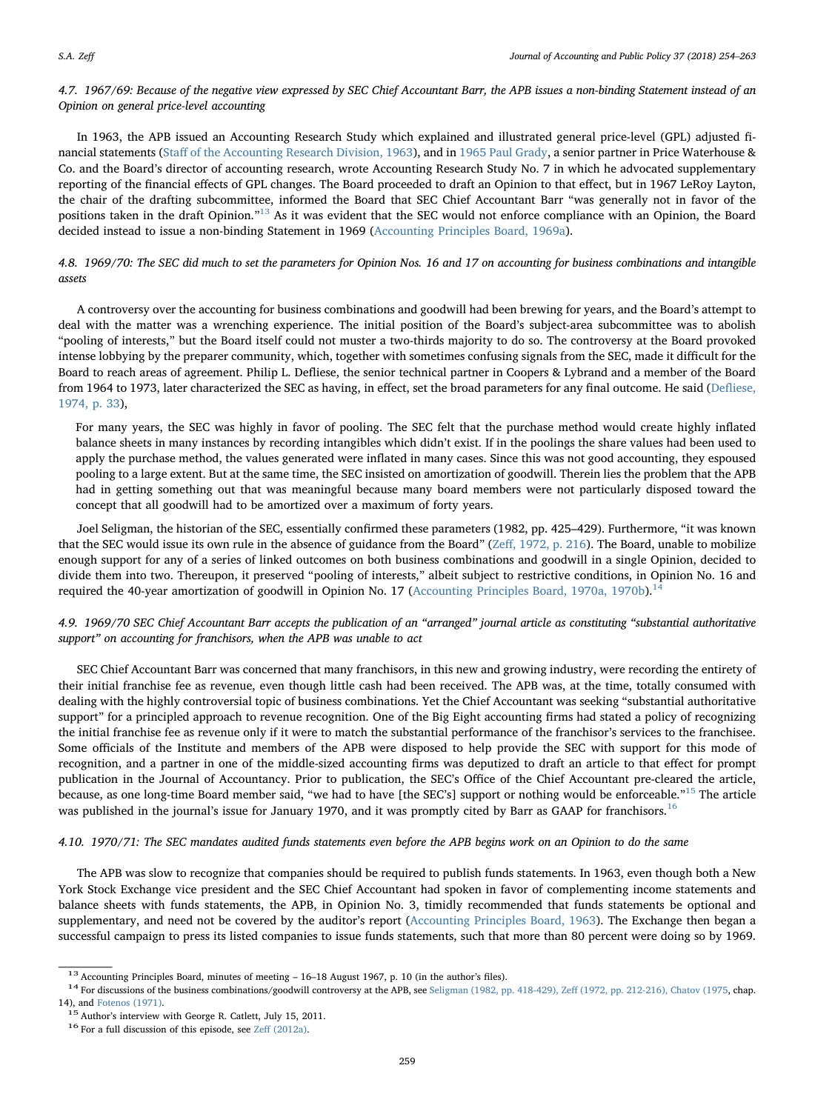## 4.7. 1967/69: Because of the negative view expressed by SEC Chief Accountant Barr, the APB issues a non-binding Statement instead of an Opinion on general price-level accounting

In 1963, the APB issued an Accounting Research Study which explained and illustrated general price-level (GPL) adjusted financial statements (Staff [of the Accounting Research Division, 1963\)](#page-9-32), and in [1965 Paul Grady,](#page-9-33) a senior partner in Price Waterhouse & Co. and the Board's director of accounting research, wrote Accounting Research Study No. 7 in which he advocated supplementary reporting of the financial effects of GPL changes. The Board proceeded to draft an Opinion to that effect, but in 1967 LeRoy Layton, the chair of the drafting subcommittee, informed the Board that SEC Chief Accountant Barr "was generally not in favor of the positions taken in the draft Opinion."[13](#page-5-0) As it was evident that the SEC would not enforce compliance with an Opinion, the Board decided instead to issue a non-binding Statement in 1969 [\(Accounting Principles Board, 1969a\)](#page-8-15).

## 4.8. 1969/70: The SEC did much to set the parameters for Opinion Nos. 16 and 17 on accounting for business combinations and intangible assets

A controversy over the accounting for business combinations and goodwill had been brewing for years, and the Board's attempt to deal with the matter was a wrenching experience. The initial position of the Board's subject-area subcommittee was to abolish "pooling of interests," but the Board itself could not muster a two-thirds majority to do so. The controversy at the Board provoked intense lobbying by the preparer community, which, together with sometimes confusing signals from the SEC, made it difficult for the Board to reach areas of agreement. Philip L. Defliese, the senior technical partner in Coopers & Lybrand and a member of the Board from 1964 to 1973, later characterized the SEC as having, in effect, set the broad parameters for any final outcome. He said (Defl[iese,](#page-9-34) [1974, p. 33](#page-9-34)),

For many years, the SEC was highly in favor of pooling. The SEC felt that the purchase method would create highly inflated balance sheets in many instances by recording intangibles which didn't exist. If in the poolings the share values had been used to apply the purchase method, the values generated were inflated in many cases. Since this was not good accounting, they espoused pooling to a large extent. But at the same time, the SEC insisted on amortization of goodwill. Therein lies the problem that the APB had in getting something out that was meaningful because many board members were not particularly disposed toward the concept that all goodwill had to be amortized over a maximum of forty years.

Joel Seligman, the historian of the SEC, essentially confirmed these parameters (1982, pp. 425–429). Furthermore, "it was known that the SEC would issue its own rule in the absence of guidance from the Board" (Zeff[, 1972, p. 216\)](#page-9-0). The Board, unable to mobilize enough support for any of a series of linked outcomes on both business combinations and goodwill in a single Opinion, decided to divide them into two. Thereupon, it preserved "pooling of interests," albeit subject to restrictive conditions, in Opinion No. 16 and required the 40-year amortization of goodwill in Opinion No. 17 ([Accounting Principles Board, 1970a, 1970b\)](#page-8-16).<sup>1</sup>

4.9. 1969/70 SEC Chief Accountant Barr accepts the publication of an "arranged" journal article as constituting "substantial authoritative support" on accounting for franchisors, when the APB was unable to act

SEC Chief Accountant Barr was concerned that many franchisors, in this new and growing industry, were recording the entirety of their initial franchise fee as revenue, even though little cash had been received. The APB was, at the time, totally consumed with dealing with the highly controversial topic of business combinations. Yet the Chief Accountant was seeking "substantial authoritative support" for a principled approach to revenue recognition. One of the Big Eight accounting firms had stated a policy of recognizing the initial franchise fee as revenue only if it were to match the substantial performance of the franchisor's services to the franchisee. Some officials of the Institute and members of the APB were disposed to help provide the SEC with support for this mode of recognition, and a partner in one of the middle-sized accounting firms was deputized to draft an article to that effect for prompt publication in the Journal of Accountancy. Prior to publication, the SEC's Office of the Chief Accountant pre-cleared the article, because, as one long-time Board member said, "we had to have [the SEC's] support or nothing would be enforceable."[15](#page-5-2) The article was published in the journal's issue for January 1970, and it was promptly cited by Barr as GAAP for franchisors.<sup>[16](#page-5-3)</sup>

#### 4.10. 1970/71: The SEC mandates audited funds statements even before the APB begins work on an Opinion to do the same

The APB was slow to recognize that companies should be required to publish funds statements. In 1963, even though both a New York Stock Exchange vice president and the SEC Chief Accountant had spoken in favor of complementing income statements and balance sheets with funds statements, the APB, in Opinion No. 3, timidly recommended that funds statements be optional and supplementary, and need not be covered by the auditor's report [\(Accounting Principles Board, 1963](#page-8-17)). The Exchange then began a successful campaign to press its listed companies to issue funds statements, such that more than 80 percent were doing so by 1969.

<span id="page-5-1"></span><span id="page-5-0"></span><sup>&</sup>lt;sup>13</sup> Accounting Principles Board, minutes of meeting - 16-18 August 1967, p. 10 (in the author's files).<br><sup>14</sup> For discussions of the business combinations/goodwill controversy at the APB, see Seligman (1982, pp. 418-429),

<span id="page-5-3"></span>

<span id="page-5-2"></span><sup>14),</sup> and [Fotenos \(1971\)](#page-9-35).<br><sup>15</sup> Author's interview with George R. Catlett, July 15, 2011.<br><sup>16</sup> For a full discussion of this episode, see Zeff [\(2012a\)](#page-9-36).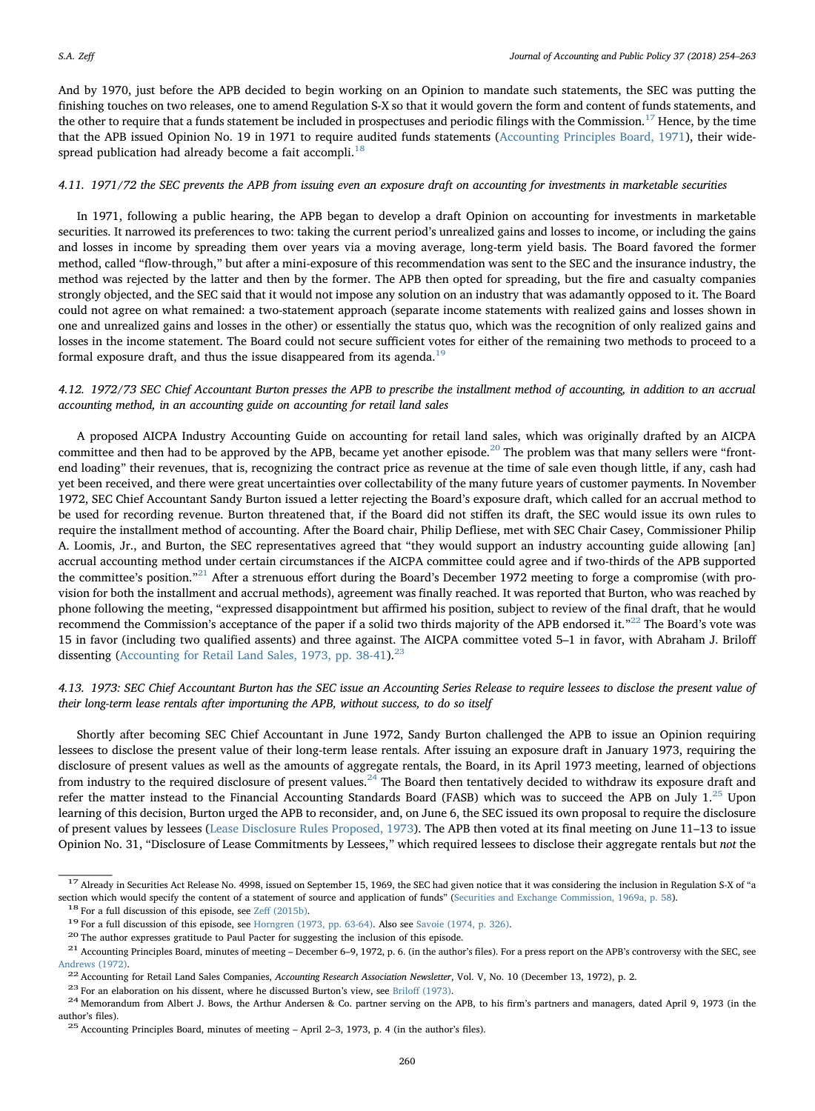And by 1970, just before the APB decided to begin working on an Opinion to mandate such statements, the SEC was putting the finishing touches on two releases, one to amend Regulation S-X so that it would govern the form and content of funds statements, and the other to require that a funds statement be included in prospectuses and periodic filings with the Commission.<sup>[17](#page-6-0)</sup> Hence, by the time that the APB issued Opinion No. 19 in 1971 to require audited funds statements ([Accounting Principles Board, 1971](#page-8-18)), their wide-spread publication had already become a fait accompli.<sup>[18](#page-6-1)</sup>

#### 4.11. 1971/72 the SEC prevents the APB from issuing even an exposure draft on accounting for investments in marketable securities

In 1971, following a public hearing, the APB began to develop a draft Opinion on accounting for investments in marketable securities. It narrowed its preferences to two: taking the current period's unrealized gains and losses to income, or including the gains and losses in income by spreading them over years via a moving average, long-term yield basis. The Board favored the former method, called "flow-through," but after a mini-exposure of this recommendation was sent to the SEC and the insurance industry, the method was rejected by the latter and then by the former. The APB then opted for spreading, but the fire and casualty companies strongly objected, and the SEC said that it would not impose any solution on an industry that was adamantly opposed to it. The Board could not agree on what remained: a two-statement approach (separate income statements with realized gains and losses shown in one and unrealized gains and losses in the other) or essentially the status quo, which was the recognition of only realized gains and losses in the income statement. The Board could not secure sufficient votes for either of the remaining two methods to proceed to a formal exposure draft, and thus the issue disappeared from its agenda.<sup>[19](#page-6-2)</sup>

## 4.12. 1972/73 SEC Chief Accountant Burton presses the APB to prescribe the installment method of accounting, in addition to an accrual accounting method, in an accounting guide on accounting for retail land sales

A proposed AICPA Industry Accounting Guide on accounting for retail land sales, which was originally drafted by an AICPA committee and then had to be approved by the APB, became yet another episode.<sup>[20](#page-6-3)</sup> The problem was that many sellers were "frontend loading" their revenues, that is, recognizing the contract price as revenue at the time of sale even though little, if any, cash had yet been received, and there were great uncertainties over collectability of the many future years of customer payments. In November 1972, SEC Chief Accountant Sandy Burton issued a letter rejecting the Board's exposure draft, which called for an accrual method to be used for recording revenue. Burton threatened that, if the Board did not stiffen its draft, the SEC would issue its own rules to require the installment method of accounting. After the Board chair, Philip Defliese, met with SEC Chair Casey, Commissioner Philip A. Loomis, Jr., and Burton, the SEC representatives agreed that "they would support an industry accounting guide allowing [an] accrual accounting method under certain circumstances if the AICPA committee could agree and if two-thirds of the APB supported the committee's position."<sup>[21](#page-6-4)</sup> After a strenuous effort during the Board's December 1972 meeting to forge a compromise (with provision for both the installment and accrual methods), agreement was finally reached. It was reported that Burton, who was reached by phone following the meeting, "expressed disappointment but affirmed his position, subject to review of the final draft, that he would recommend the Commission's acceptance of the paper if a solid two thirds majority of the APB endorsed it. $^{n22}$  $^{n22}$  $^{n22}$  The Board's vote was 15 in favor (including two qualified assents) and three against. The AICPA committee voted 5–1 in favor, with Abraham J. Briloff dissenting [\(Accounting for Retail Land Sales, 1973, pp. 38-41](#page-8-19)).<sup>[23](#page-6-6)</sup>

## 4.13. 1973: SEC Chief Accountant Burton has the SEC issue an Accounting Series Release to require lessees to disclose the present value of their long-term lease rentals after importuning the APB, without success, to do so itself

Shortly after becoming SEC Chief Accountant in June 1972, Sandy Burton challenged the APB to issue an Opinion requiring lessees to disclose the present value of their long-term lease rentals. After issuing an exposure draft in January 1973, requiring the disclosure of present values as well as the amounts of aggregate rentals, the Board, in its April 1973 meeting, learned of objections from industry to the required disclosure of present values.<sup>[24](#page-6-7)</sup> The Board then tentatively decided to withdraw its exposure draft and refer the matter instead to the Financial Accounting Standards Board (FASB) which was to succeed the APB on July 1.<sup>[25](#page-6-8)</sup> Upon learning of this decision, Burton urged the APB to reconsider, and, on June 6, the SEC issued its own proposal to require the disclosure of present values by lessees [\(Lease Disclosure Rules Proposed, 1973](#page-9-37)). The APB then voted at its final meeting on June 11–13 to issue Opinion No. 31, "Disclosure of Lease Commitments by Lessees," which required lessees to disclose their aggregate rentals but not the

<span id="page-6-0"></span> $17$  Already in Securities Act Release No. 4998, issued on September 15, 1969, the SEC had given notice that it was considering the inclusion in Regulation S-X of "a section which would specify the content of a statement of source and application of funds" ([Securities and Exchange Commission, 1969a, p. 58](#page-9-6)).<br><sup>18</sup> For a full discussion of this episode, see Zeff [\(2015b\)](#page-9-38).<br><sup>19</sup> For a full

<span id="page-6-2"></span><span id="page-6-1"></span>

<span id="page-6-3"></span>

<span id="page-6-4"></span>[Andrews \(1972\).](#page-8-20)<br><sup>22</sup> Accounting for Retail Land Sales Companies, *Accounting Research Association Newsletter*, Vol. V, No. 10 (December 13, 1972), p. 2.<br><sup>23</sup> For an elaboration on his dissent, where he discussed Burton's v

<span id="page-6-5"></span>

<span id="page-6-6"></span>

<span id="page-6-7"></span>author's files). <sup>25</sup> Accounting Principles Board, minutes of meeting – April 2–3, 1973, p. 4 (in the author's files).

<span id="page-6-8"></span>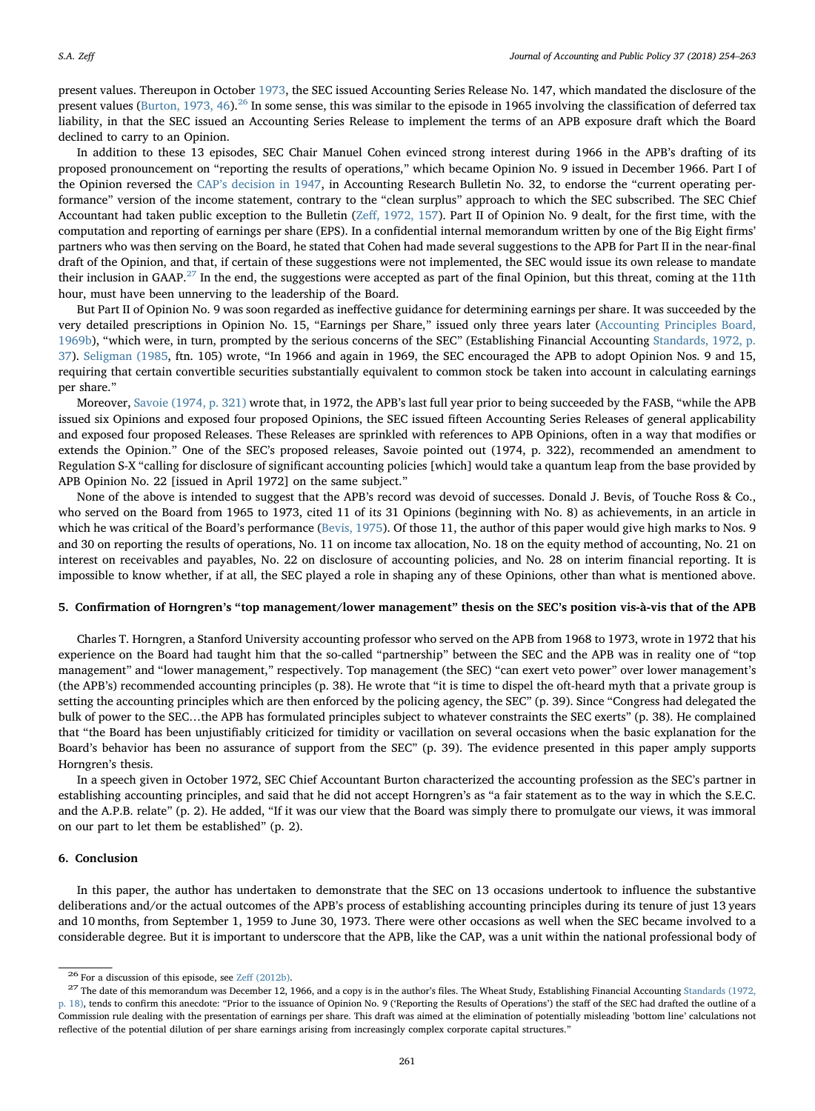present values. Thereupon in October [1973,](#page-9-40) the SEC issued Accounting Series Release No. 147, which mandated the disclosure of the present values [\(Burton, 1973, 46\)](#page-8-22).<sup>[26](#page-7-0)</sup> In some sense, this was similar to the episode in 1965 involving the classification of deferred tax liability, in that the SEC issued an Accounting Series Release to implement the terms of an APB exposure draft which the Board declined to carry to an Opinion.

In addition to these 13 episodes, SEC Chair Manuel Cohen evinced strong interest during 1966 in the APB's drafting of its proposed pronouncement on "reporting the results of operations," which became Opinion No. 9 issued in December 1966. Part I of the Opinion reversed the CAP'[s decision in 1947,](#page-9-41) in Accounting Research Bulletin No. 32, to endorse the "current operating performance" version of the income statement, contrary to the "clean surplus" approach to which the SEC subscribed. The SEC Chief Accountant had taken public exception to the Bulletin (Zeff[, 1972, 157\)](#page-9-0). Part II of Opinion No. 9 dealt, for the first time, with the computation and reporting of earnings per share (EPS). In a confidential internal memorandum written by one of the Big Eight firms' partners who was then serving on the Board, he stated that Cohen had made several suggestions to the APB for Part II in the near-final draft of the Opinion, and that, if certain of these suggestions were not implemented, the SEC would issue its own release to mandate their inclusion in GAAP.<sup>[27](#page-7-1)</sup> In the end, the suggestions were accepted as part of the final Opinion, but this threat, coming at the 11th hour, must have been unnerving to the leadership of the Board.

But Part II of Opinion No. 9 was soon regarded as ineffective guidance for determining earnings per share. It was succeeded by the very detailed prescriptions in Opinion No. 15, "Earnings per Share," issued only three years later ([Accounting Principles Board,](#page-8-23) [1969b](#page-8-23)), "which were, in turn, prompted by the serious concerns of the SEC" (Establishing Financial Accounting [Standards, 1972, p.](#page-9-8) [37\)](#page-9-8). [Seligman \(1985](#page-9-16), ftn. 105) wrote, "In 1966 and again in 1969, the SEC encouraged the APB to adopt Opinion Nos. 9 and 15, requiring that certain convertible securities substantially equivalent to common stock be taken into account in calculating earnings per share."

Moreover, [Savoie \(1974, p. 321\)](#page-9-2) wrote that, in 1972, the APB's last full year prior to being succeeded by the FASB, "while the APB issued six Opinions and exposed four proposed Opinions, the SEC issued fifteen Accounting Series Releases of general applicability and exposed four proposed Releases. These Releases are sprinkled with references to APB Opinions, often in a way that modifies or extends the Opinion." One of the SEC's proposed releases, Savoie pointed out (1974, p. 322), recommended an amendment to Regulation S-X "calling for disclosure of significant accounting policies [which] would take a quantum leap from the base provided by APB Opinion No. 22 [issued in April 1972] on the same subject."

None of the above is intended to suggest that the APB's record was devoid of successes. Donald J. Bevis, of Touche Ross & Co., who served on the Board from 1965 to 1973, cited 11 of its 31 Opinions (beginning with No. 8) as achievements, in an article in which he was critical of the Board's performance ([Bevis, 1975\)](#page-8-24). Of those 11, the author of this paper would give high marks to Nos. 9 and 30 on reporting the results of operations, No. 11 on income tax allocation, No. 18 on the equity method of accounting, No. 21 on interest on receivables and payables, No. 22 on disclosure of accounting policies, and No. 28 on interim financial reporting. It is impossible to know whether, if at all, the SEC played a role in shaping any of these Opinions, other than what is mentioned above.

#### 5. Confirmation of Horngren's "top management/lower management" thesis on the SEC's position vis-à-vis that of the APB

Charles T. Horngren, a Stanford University accounting professor who served on the APB from 1968 to 1973, wrote in 1972 that his experience on the Board had taught him that the so-called "partnership" between the SEC and the APB was in reality one of "top management" and "lower management," respectively. Top management (the SEC) "can exert veto power" over lower management's (the APB's) recommended accounting principles (p. 38). He wrote that "it is time to dispel the oft-heard myth that a private group is setting the accounting principles which are then enforced by the policing agency, the SEC" (p. 39). Since "Congress had delegated the bulk of power to the SEC…the APB has formulated principles subject to whatever constraints the SEC exerts" (p. 38). He complained that "the Board has been unjustifiably criticized for timidity or vacillation on several occasions when the basic explanation for the Board's behavior has been no assurance of support from the SEC" (p. 39). The evidence presented in this paper amply supports Horngren's thesis.

In a speech given in October 1972, SEC Chief Accountant Burton characterized the accounting profession as the SEC's partner in establishing accounting principles, and said that he did not accept Horngren's as "a fair statement as to the way in which the S.E.C. and the A.P.B. relate" (p. 2). He added, "If it was our view that the Board was simply there to promulgate our views, it was immoral on our part to let them be established" (p. 2).

## 6. Conclusion

In this paper, the author has undertaken to demonstrate that the SEC on 13 occasions undertook to influence the substantive deliberations and/or the actual outcomes of the APB's process of establishing accounting principles during its tenure of just 13 years and 10 months, from September 1, 1959 to June 30, 1973. There were other occasions as well when the SEC became involved to a considerable degree. But it is important to underscore that the APB, like the CAP, was a unit within the national professional body of

<span id="page-7-1"></span><span id="page-7-0"></span><sup>&</sup>lt;sup>26</sup> For a discussion of this episode, see Zeff [\(2012b\).](#page-9-42) 26 The author's files. The Wheat Study, Establishing Financial Accounting [Standards \(1972,](#page-9-8) <sup>27</sup> The date of this memorandum was December 12, 1966, and a copy is in [p. 18\),](#page-9-8) tends to confirm this anecdote: "Prior to the issuance of Opinion No. 9 ('Reporting the Results of Operations') the staff of the SEC had drafted the outline of a Commission rule dealing with the presentation of earnings per share. This draft was aimed at the elimination of potentially misleading 'bottom line' calculations not reflective of the potential dilution of per share earnings arising from increasingly complex corporate capital structures."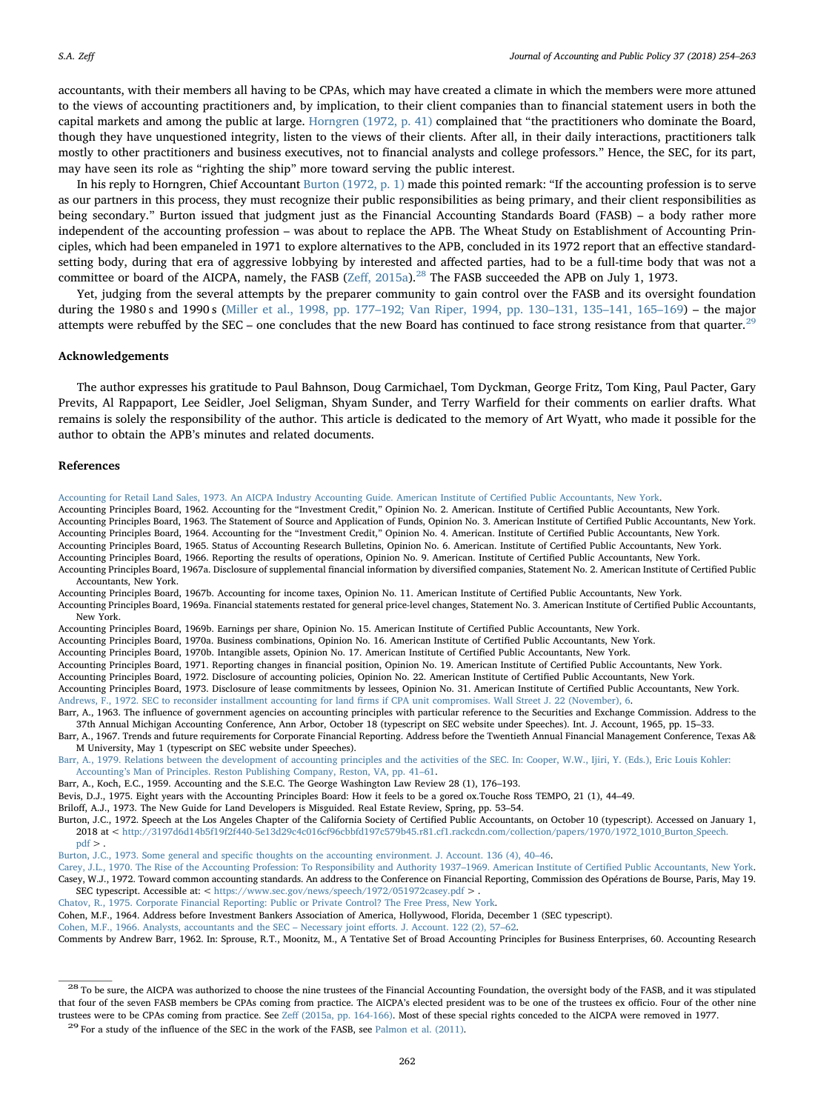accountants, with their members all having to be CPAs, which may have created a climate in which the members were more attuned to the views of accounting practitioners and, by implication, to their client companies than to financial statement users in both the capital markets and among the public at large. [Horngren \(1972, p. 41\)](#page-9-43) complained that "the practitioners who dominate the Board, though they have unquestioned integrity, listen to the views of their clients. After all, in their daily interactions, practitioners talk mostly to other practitioners and business executives, not to financial analysts and college professors." Hence, the SEC, for its part, may have seen its role as "righting the ship" more toward serving the public interest.

In his reply to Horngren, Chief Accountant [Burton \(1972, p. 1\)](#page-8-25) made this pointed remark: "If the accounting profession is to serve as our partners in this process, they must recognize their public responsibilities as being primary, and their client responsibilities as being secondary." Burton issued that judgment just as the Financial Accounting Standards Board (FASB) – a body rather more independent of the accounting profession – was about to replace the APB. The Wheat Study on Establishment of Accounting Principles, which had been empaneled in 1971 to explore alternatives to the APB, concluded in its 1972 report that an effective standardsetting body, during that era of aggressive lobbying by interested and affected parties, had to be a full-time body that was not a committee or board of the AICPA, namely, the FASB (Zeff[, 2015a\)](#page-9-44).<sup>[28](#page-8-26)</sup> The FASB succeeded the APB on July 1, 1973.

Yet, judging from the several attempts by the preparer community to gain control over the FASB and its oversight foundation during the 1980 s and 1990 s (Miller et al., 1998, pp. 177–[192; Van Riper, 1994, pp. 130](#page-9-45)–131, 135–141, 165–169) – the major attempts were rebuffed by the SEC – one concludes that the new Board has continued to face strong resistance from that quarter.<sup>[29](#page-8-27)</sup>

#### Acknowledgements

The author expresses his gratitude to Paul Bahnson, Doug Carmichael, Tom Dyckman, George Fritz, Tom King, Paul Pacter, Gary Previts, Al Rappaport, Lee Seidler, Joel Seligman, Shyam Sunder, and Terry Warfield for their comments on earlier drafts. What remains is solely the responsibility of the author. This article is dedicated to the memory of Art Wyatt, who made it possible for the author to obtain the APB's minutes and related documents.

#### References

<span id="page-8-19"></span>[Accounting for Retail Land Sales, 1973. An AICPA Industry Accounting Guide. American Institute of Certi](http://refhub.elsevier.com/S0278-4254(18)30034-6/h0005)fied Public Accountants, New York.

- <span id="page-8-6"></span>Accounting Principles Board, 1962. Accounting for the "Investment Credit," Opinion No. 2. American. Institute of Certified Public Accountants, New York.
- <span id="page-8-17"></span><span id="page-8-7"></span>Accounting Principles Board, 1963. The Statement of Source and Application of Funds, Opinion No. 3. American Institute of Certified Public Accountants, New York. Accounting Principles Board, 1964. Accounting for the "Investment Credit," Opinion No. 4. American. Institute of Certified Public Accountants, New York.
- <span id="page-8-9"></span>Accounting Principles Board, 1965. Status of Accounting Research Bulletins, Opinion No. 6. American. Institute of Certified Public Accountants, New York.
- Accounting Principles Board, 1966. Reporting the results of operations, Opinion No. 9. American. Institute of Certified Public Accountants, New York.
- <span id="page-8-12"></span>Accounting Principles Board, 1967a. Disclosure of supplemental financial information by diversified companies, Statement No. 2. American Institute of Certified Public Accountants, New York.
- <span id="page-8-10"></span>Accounting Principles Board, 1967b. Accounting for income taxes, Opinion No. 11. American Institute of Certified Public Accountants, New York.
- <span id="page-8-15"></span>Accounting Principles Board, 1969a. Financial statements restated for general price-level changes, Statement No. 3. American Institute of Certified Public Accountants, New York.
- <span id="page-8-23"></span>Accounting Principles Board, 1969b. Earnings per share, Opinion No. 15. American Institute of Certified Public Accountants, New York.
- <span id="page-8-16"></span>Accounting Principles Board, 1970a. Business combinations, Opinion No. 16. American Institute of Certified Public Accountants, New York.
- Accounting Principles Board, 1970b. Intangible assets, Opinion No. 17. American Institute of Certified Public Accountants, New York.
- <span id="page-8-18"></span>Accounting Principles Board, 1971. Reporting changes in financial position, Opinion No. 19. American Institute of Certified Public Accountants, New York.
- Accounting Principles Board, 1972. Disclosure of accounting policies, Opinion No. 22. American Institute of Certified Public Accountants, New York.
- <span id="page-8-20"></span><span id="page-8-0"></span>Accounting Principles Board, 1973. Disclosure of lease commitments by lessees, Opinion No. 31. American Institute of Certified Public Accountants, New York. [Andrews, F., 1972. SEC to reconsider installment accounting for land](http://refhub.elsevier.com/S0278-4254(18)30034-6/h0080) firms if CPA unit compromises. Wall Street J. 22 (November), 6.

<span id="page-8-8"></span>Barr, A., 1963. The influence of government agencies on accounting principles with particular reference to the Securities and Exchange Commission. Address to the

- 37th Annual Michigan Accounting Conference, Ann Arbor, October 18 (typescript on SEC website under Speeches). Int. J. Account, 1965, pp. 15–33. Barr, A., 1967. Trends and future requirements for Corporate Financial Reporting. Address before the Twentieth Annual Financial Management Conference, Texas A&
- <span id="page-8-3"></span>M University, May 1 (typescript on SEC website under Speeches). [Barr, A., 1979. Relations between the development of accounting principles and the activities of the SEC. In: Cooper, W.W., Ijiri, Y. \(Eds.\), Eric Louis Kohler:](http://refhub.elsevier.com/S0278-4254(18)30034-6/h0095)

Accounting'[s Man of Principles. Reston Publishing Company, Reston, VA, pp. 41](http://refhub.elsevier.com/S0278-4254(18)30034-6/h0095)–61.

- <span id="page-8-2"></span>Barr, A., Koch, E.C., 1959. Accounting and the S.E.C. The George Washington Law Review 28 (1), 176–193.
- <span id="page-8-24"></span>Bevis, D.J., 1975. Eight years with the Accounting Principles Board: How it feels to be a gored ox.Touche Ross TEMPO, 21 (1), 44–49.

<span id="page-8-21"></span>Briloff, A.J., 1973. The New Guide for Land Developers is Misguided. Real Estate Review, Spring, pp. 53–54.

<span id="page-8-25"></span>Burton, J.C., 1972. Speech at the Los Angeles Chapter of the California Society of Certified Public Accountants, on October 10 (typescript). Accessed on January 1, 2018 at < [http://3197d6d14b5f19f2f440-5e13d29c4c016cf96cbbfd197c579b45.r81.cf1.rackcdn.com/collection/papers/1970/1972\\_1010\\_Burton\\_Speech.](http://3197d6d14b5f19f2f440-5e13d29c4c016cf96cbbfd197c579b45.r81.cf1.rackcdn.com/collection/papers/1970/1972_1010_Burton_Speech.pdf)  $pdf$ 

- <span id="page-8-22"></span>Burton, J.C., 1973. Some general and specifi[c thoughts on the accounting environment. J. Account. 136 \(4\), 40](http://refhub.elsevier.com/S0278-4254(18)30034-6/h0120)–46.
- <span id="page-8-13"></span><span id="page-8-1"></span>[Carey, J.L., 1970. The Rise of the Accounting Profession: To Responsibility and Authority 1937](http://refhub.elsevier.com/S0278-4254(18)30034-6/h0125)–1969. American Institute of Certified Public Accountants, New York. Casey, W.J., 1972. Toward common accounting standards. An address to the Conference on Financial Reporting, Commission des Opérations de Bourse, Paris, May 19. SEC typescript. Accessible at: < <https://www.sec.gov/news/speech/1972/051972casey.pdf> > .
- <span id="page-8-14"></span>[Chatov, R., 1975. Corporate Financial Reporting: Public or Private Control? The Free Press, New York.](http://refhub.elsevier.com/S0278-4254(18)30034-6/h0135)
- <span id="page-8-4"></span>Cohen, M.F., 1964. Address before Investment Bankers Association of America, Hollywood, Florida, December 1 (SEC typescript).

<span id="page-8-11"></span>[Cohen, M.F., 1966. Analysts, accountants and the SEC](http://refhub.elsevier.com/S0278-4254(18)30034-6/h0145) – Necessary joint efforts. J. Account. 122 (2), 57–62.

<span id="page-8-5"></span>Comments by Andrew Barr, 1962. In: Sprouse, R.T., Moonitz, M., A Tentative Set of Broad Accounting Principles for Business Enterprises, 60. Accounting Research

<span id="page-8-26"></span><sup>&</sup>lt;sup>28</sup> To be sure, the AICPA was authorized to choose the nine trustees of the Financial Accounting Foundation, the oversight body of the FASB, and it was stipulated that four of the seven FASB members be CPAs coming from practice. The AICPA's elected president was to be one of the trustees ex officio. Four of the other nine trustees were to be CPAs coming from practice. See Zeff [\(2015a, pp. 164-166\)](#page-9-44). Most of these special rights conceded to the AICPA were removed in 1977.<br><sup>29</sup> For a study of the influence of the SEC in the work of the FASB,

<span id="page-8-27"></span>